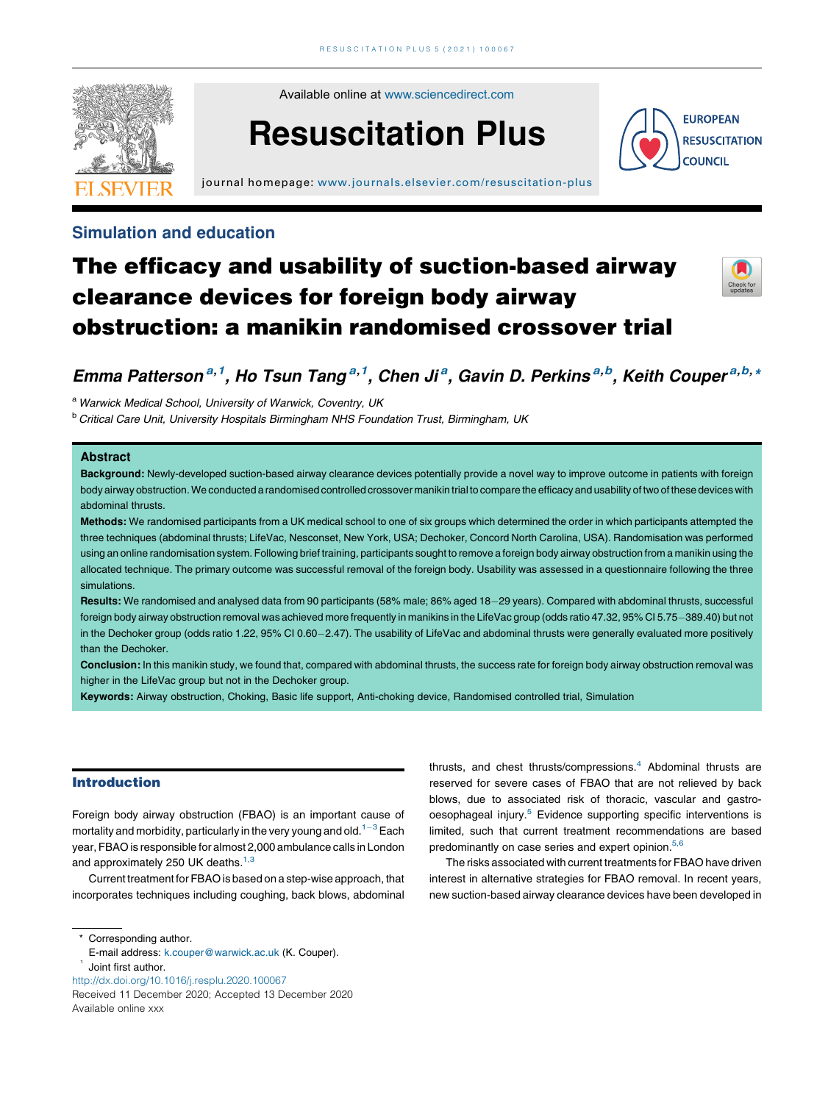

Available online at [www.sciencedirect.com](http://www.sciencedirect.com/science/journal/26665204)

# Resuscitation Plus

journal homepage: <www.journals.elsevier.com/resuscitation-plus>

# Simulation and education



**EUROPEAN RESUSCITATION COUNCIL** 

# The efficacy and usability of suction-based airway clearance devices for foreign body airway obstruction: a manikin randomised crossover trial

Emma Patterson<sup>a,1</sup>, Ho Tsun Tang<sup>a,1</sup>, Chen Ji<sup>a</sup>, Gavin D. Perkins<sup>a,b</sup>, Keith Couper<sup>a,b,,</sup>

a Warwick Medical School, University of Warwick, Coventry, UK

<sup>b</sup> Critical Care Unit, University Hospitals Birmingham NHS Foundation Trust, Birmingham, UK

# Abstract

Background: Newly-developed suction-based airway clearance devices potentially provide a novel way to improve outcome in patients with foreign body airway obstruction.We conducted a randomised controlled crossover manikin trial to compare the efficacy and usability of two of these devices with abdominal thrusts.

Methods: We randomised participants from a UK medical school to one of six groups which determined the order in which participants attempted the three techniques (abdominal thrusts; LifeVac, Nesconset, New York, USA; Dechoker, Concord North Carolina, USA). Randomisation was performed using an online randomisation system. Following brief training, participants sought to remove a foreign body airway obstruction from a manikin using the allocated technique. The primary outcome was successful removal of the foreign body. Usability was assessed in a questionnaire following the three simulations.

Results: We randomised and analysed data from 90 participants (58% male; 86% aged 18-29 years). Compared with abdominal thrusts, successful foreign body airway obstruction removal was achieved more frequently in manikins in the LifeVac group (odds ratio 47.32, 95% CI 5.75-389.40) but not in the Dechoker group (odds ratio 1.22, 95% CI 0.60-2.47). The usability of LifeVac and abdominal thrusts were generally evaluated more positively than the Dechoker.

Conclusion: In this manikin study, we found that, compared with abdominal thrusts, the success rate for foreign body airway obstruction removal was higher in the LifeVac group but not in the Dechoker group.

Keywords: Airway obstruction, Choking, Basic life support, Anti-choking device, Randomised controlled trial, Simulation

### Introduction

Foreign body airway obstruction (FBAO) is an important cause of mortality and morbidity, particularly in the very young and old.<sup>1-3</sup> Each year, FBAO is responsible for almost 2,000 ambulance calls in London and approximately 250 UK deaths.<sup>[1,3](#page-5-0)</sup>

Current treatment for FBAO is based on a step-wise approach, that incorporates techniques including coughing, back blows, abdominal

\* Corresponding author.

- E-mail address: [k.couper@warwick.ac.uk](mailto:k.couper@warwick.ac.uk) (K. Couper). 1 Joint first author.
- <http://dx.doi.org/10.1016/j.resplu.2020.100067>

Received 11 December 2020; Accepted 13 December 2020 Available online xxx

thrusts, and chest thrusts/compressions.<sup>4</sup> Abdominal thrusts are reserved for severe cases of FBAO that are not relieved by back blows, due to associated risk of thoracic, vascular and gastro-oesophageal injury.<sup>[5](#page-5-0)</sup> Evidence supporting specific interventions is limited, such that current treatment recommendations are based predominantly on case series and expert opinion.<sup>[5,6](#page-5-0)</sup>

The risks associated with current treatments for FBAO have driven interest in alternative strategies for FBAO removal. In recent years, new suction-based airway clearance devices have been developed in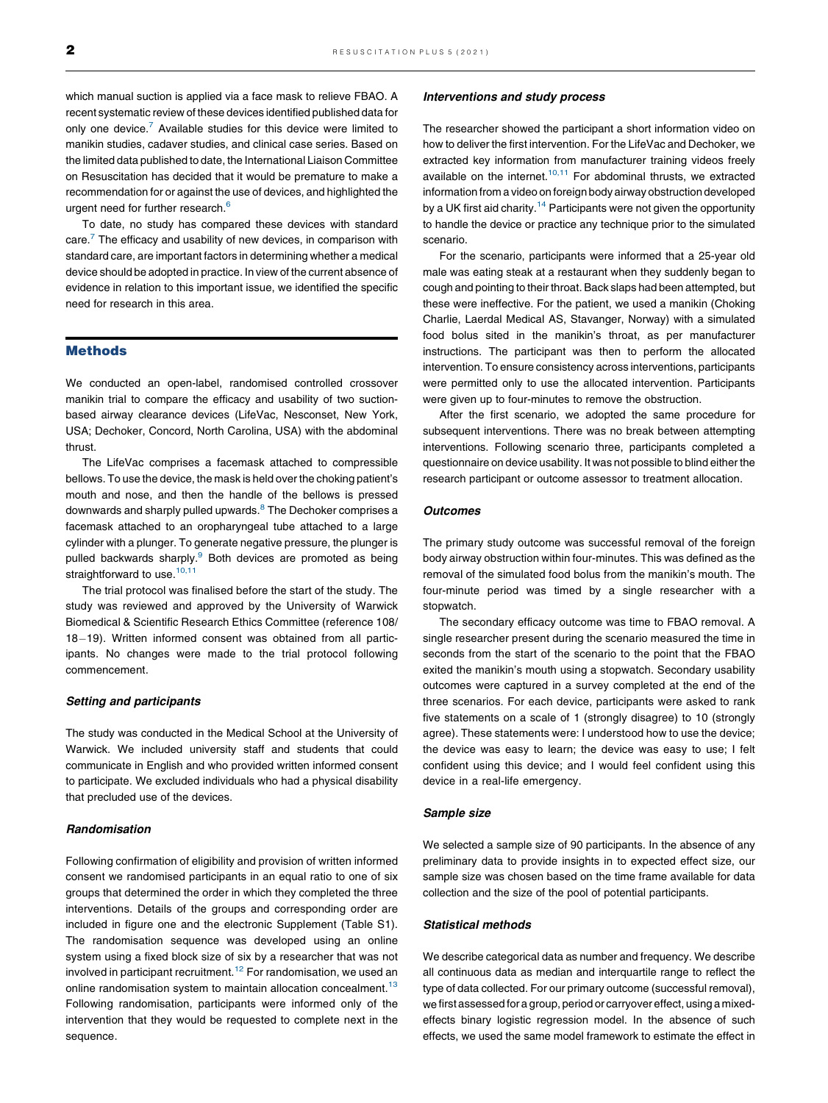which manual suction is applied via a face mask to relieve FBAO. A recent systematic review of these devices identified published data for only one device.<sup>7</sup> Available studies for this device were limited to manikin studies, cadaver studies, and clinical case series. Based on the limited data published to date, the International Liaison Committee on Resuscitation has decided that it would be premature to make a recommendation for or against the use of devices, and highlighted the urgent need for further research.<sup>[6](#page-5-0)</sup>

To date, no study has compared these devices with standard care. $<sup>7</sup>$  $<sup>7</sup>$  $<sup>7</sup>$  The efficacy and usability of new devices, in comparison with</sup> standard care, are important factors in determining whether a medical device should be adopted in practice. In view of the current absence of evidence in relation to this important issue, we identified the specific need for research in this area.

# Methods

We conducted an open-label, randomised controlled crossover manikin trial to compare the efficacy and usability of two suctionbased airway clearance devices (LifeVac, Nesconset, New York, USA; Dechoker, Concord, North Carolina, USA) with the abdominal thrust.

The LifeVac comprises a facemask attached to compressible bellows. To use the device, the mask is held over the choking patient's mouth and nose, and then the handle of the bellows is pressed downwards and sharply pulled upwards.<sup>[8](#page-5-0)</sup> The Dechoker comprises a facemask attached to an oropharyngeal tube attached to a large cylinder with a plunger. To generate negative pressure, the plunger is pulled backwards sharply.<sup>9</sup> Both devices are promoted as being straightforward to use. $10,11$ 

The trial protocol was finalised before the start of the study. The study was reviewed and approved by the University of Warwick Biomedical & Scientific Research Ethics Committee (reference 108/ 18-19). Written informed consent was obtained from all participants. No changes were made to the trial protocol following commencement.

#### Setting and participants

The study was conducted in the Medical School at the University of Warwick. We included university staff and students that could communicate in English and who provided written informed consent to participate. We excluded individuals who had a physical disability that precluded use of the devices.

### Randomisation

Following confirmation of eligibility and provision of written informed consent we randomised participants in an equal ratio to one of six groups that determined the order in which they completed the three interventions. Details of the groups and corresponding order are included in figure one and the electronic Supplement (Table S1). The randomisation sequence was developed using an online system using a fixed block size of six by a researcher that was not involved in participant recruitment.<sup>[12](#page-5-0)</sup> For randomisation, we used an online randomisation system to maintain allocation concealment.<sup>[13](#page-5-0)</sup> Following randomisation, participants were informed only of the intervention that they would be requested to complete next in the sequence.

#### Interventions and study process

The researcher showed the participant a short information video on how to deliver the first intervention. For the LifeVac and Dechoker, we extracted key information from manufacturer training videos freely available on the internet. $10,11$  For [abdominal](#page-5-0) thrusts, we extracted information from a video on foreign body airway obstruction developed by a UK first aid charity.<sup>[14](#page-5-0)</sup> Participants were not given the opportunity to handle the device or practice any technique prior to the simulated scenario.

For the scenario, participants were informed that a 25-year old male was eating steak at a restaurant when they suddenly began to cough and pointing to their throat. Back slaps had been attempted, but these were ineffective. For the patient, we used a manikin (Choking Charlie, Laerdal Medical AS, Stavanger, Norway) with a simulated food bolus sited in the manikin's throat, as per manufacturer instructions. The participant was then to perform the allocated intervention. To ensure consistency across interventions, participants were permitted only to use the allocated intervention. Participants were given up to four-minutes to remove the obstruction.

After the first scenario, we adopted the same procedure for subsequent interventions. There was no break between attempting interventions. Following scenario three, participants completed a questionnaire on device usability. It was not possible to blind either the research participant or outcome assessor to treatment allocation.

#### **Outcomes**

The primary study outcome was successful removal of the foreign body airway obstruction within four-minutes. This was defined as the removal of the simulated food bolus from the manikin's mouth. The four-minute period was timed by a single researcher with a stopwatch.

The secondary efficacy outcome was time to FBAO removal. A single researcher present during the scenario measured the time in seconds from the start of the scenario to the point that the FBAO exited the manikin's mouth using a stopwatch. Secondary usability outcomes were captured in a survey completed at the end of the three scenarios. For each device, participants were asked to rank five statements on a scale of 1 (strongly disagree) to 10 (strongly agree). These statements were: I understood how to use the device; the device was easy to learn; the device was easy to use; I felt confident using this device; and I would feel confident using this device in a real-life emergency.

#### Sample size

We selected a sample size of 90 participants. In the absence of any preliminary data to provide insights in to expected effect size, our sample size was chosen based on the time frame available for data collection and the size of the pool of potential participants.

#### Statistical methods

We describe categorical data as number and frequency. We describe all continuous data as median and interquartile range to reflect the type of data collected. For our primary outcome (successful removal), we first assessed for a group, period or carryover effect, using a mixedeffects binary logistic regression model. In the absence of such effects, we used the same model framework to estimate the effect in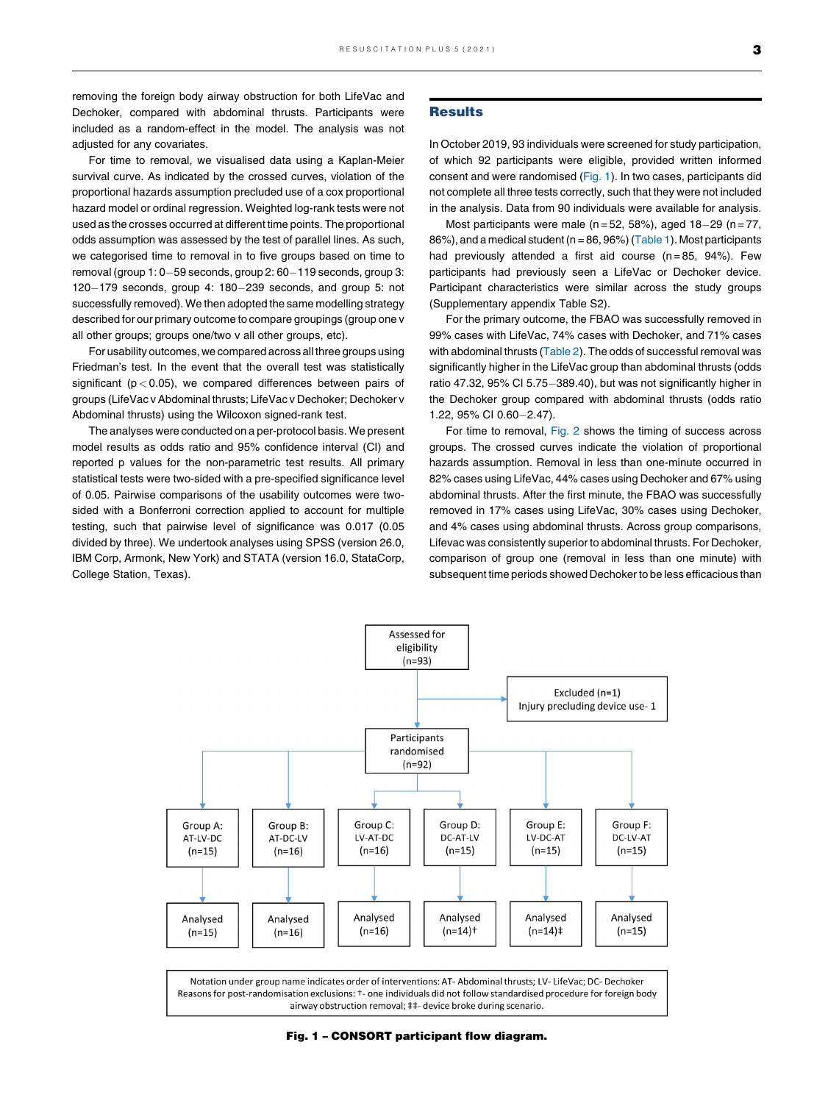removing the foreign body airway obstruction for both LifeVac and Dechoker, compared with abdominal thrusts. Participants were included as a random-effect in the model. The analysis was not adjusted for any covariates.

For time to removal, we visualised data using a Kaplan-Meier survival curve. As indicated by the crossed curves, violation of the proportional hazards assumption precluded use of a cox proportional hazard model or ordinal regression. Weighted log-rank tests were not used as the crosses occurred at different time points. The proportional odds assumption was assessed by the test of parallel lines. As such, we categorised time to removal in to five groups based on time to removal (group  $1: 0-59$  seconds, group  $2: 60-119$  seconds, group 3:  $120-179$  seconds, group 4:  $180-239$  seconds, and group 5: not successfully removed). We then adopted the same modelling strategy described for our primary outcome to compare groupings (group one v all other groups; groups one/two v all other groups, etc).

For usability outcomes, we compared across all three groups using Friedman's test. In the event that the overall test was statistically significant ( $p < 0.05$ ), we compared differences between pairs of groups (LifeVac v Abdominal thrusts; LifeVac v Dechoker; Dechoker v Abdominal thrusts) using the Wilcoxon signed-rank test.

The analyses were conducted on a per-protocol basis. We present model results as odds ratio and 95% confidence interval (CI) and reported p values for the non-parametric test results. All primary statistical tests were two-sided with a pre-specified significance level of 0.05. Pairwise comparisons of the usability outcomes were twosided with a Bonferroni correction applied to account for multiple testing, such that pairwise level of significance was 0.017 (0.05 divided by three). We undertook analyses using SPSS (version 26.0, IBM Corp, Armonk, New York) and STATA (version 16.0, StataCorp, College Station, Texas).

#### **Results**

In October 2019, 93 individuals were screened for study participation, of which 92 participants were eligible, provided written informed consent and were randomised (Fig. 1). In two cases, participants did not complete all three tests correctly, such that they were not included in the analysis. Data from 90 individuals were available for analysis.

Most participants were male ( $n = 52$ , 58%), aged 18-29 ( $n = 77$ ,  $86\%$ ), and a medical student (n = 86, 96%) ([Table](#page-3-0) 1). Most participants had previously attended a first aid course  $(n = 85, 94%)$ . Few participants had previously seen a LifeVac or Dechoker device. Participant characteristics were similar across the study groups (Supplementary appendix Table S2).

For the primary outcome, the FBAO was successfully removed in 99% cases with LifeVac, 74% cases with Dechoker, and 71% cases with abdominal thrusts ([Table](#page-3-0) 2). The odds of successful removal was significantly higher in the LifeVac group than abdominal thrusts (odds ratio 47.32, 95% CI 5.75-389.40), but was not significantly higher in the Dechoker group compared with abdominal thrusts (odds ratio 1.22, 95% CI 0.60-2.47).

For time to removal, [Fig.](#page-3-0) 2 shows the timing of success across groups. The crossed curves indicate the violation of proportional hazards assumption. Removal in less than one-minute occurred in 82% cases using LifeVac, 44% cases using Dechoker and 67% using abdominal thrusts. After the first minute, the FBAO was successfully removed in 17% cases using LifeVac, 30% cases using Dechoker, and 4% cases using abdominal thrusts. Across group comparisons, Lifevac was consistently superior to abdominal thrusts. For Dechoker, comparison of group one (removal in less than one minute) with subsequent time periods showed Dechoker to be less efficacious than



Fig. 1 – CONSORT participant flow diagram.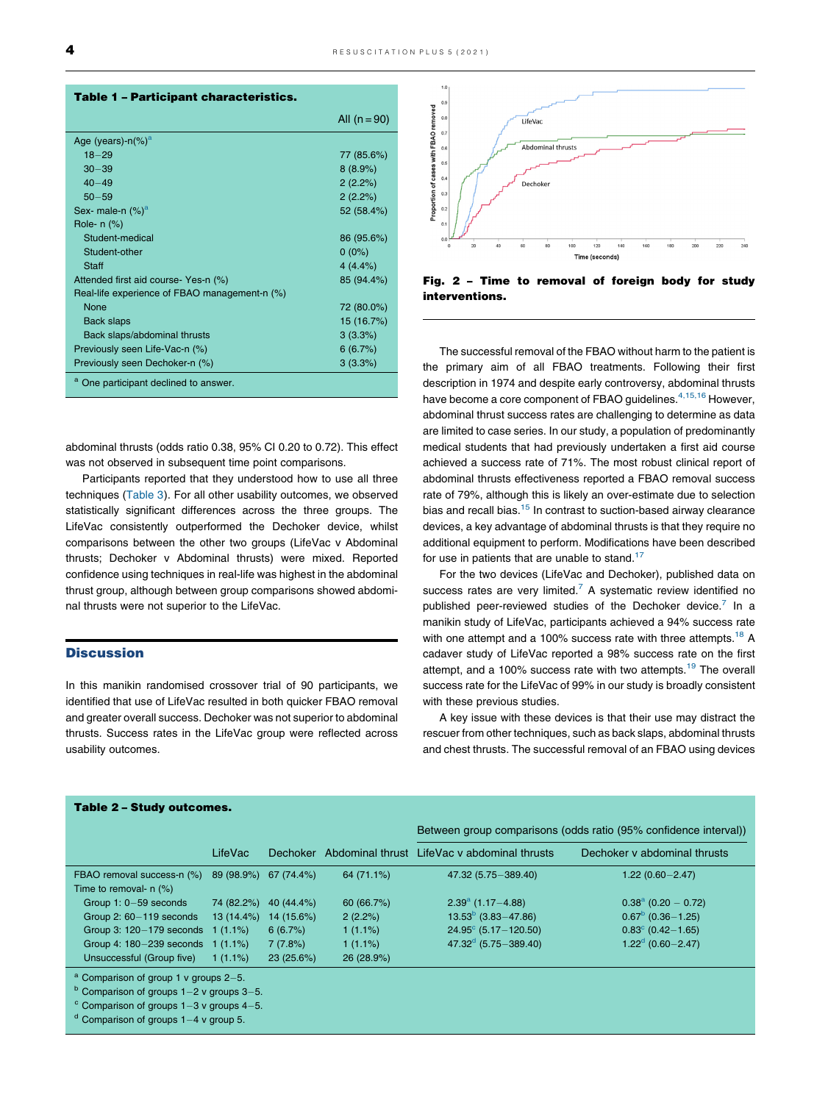<span id="page-3-0"></span>

| <b>Table 1 - Participant characteristics.</b> |                |
|-----------------------------------------------|----------------|
|                                               | All $(n = 90)$ |
| Age (years)- $n$ (%) <sup>a</sup>             |                |
| $18 - 29$                                     | 77 (85.6%)     |
| $30 - 39$                                     | 8(8.9%)        |
| $40 - 49$                                     | 2(2.2%)        |
| $50 - 59$                                     | 2(2.2%)        |
| Sex- male-n $(\%)^a$                          | 52 (58.4%)     |
| Role- n (%)                                   |                |
| Student-medical                               | 86 (95.6%)     |
| Student-other                                 | $0(0\%)$       |
| Staff                                         | 4(4.4%)        |
| Attended first aid course- Yes-n (%)          | 85 (94.4%)     |
| Real-life experience of FBAO management-n (%) |                |
| None                                          | 72 (80.0%)     |
| Back slaps                                    | 15 (16.7%)     |
| Back slaps/abdominal thrusts                  | 3(3.3%)        |
| Previously seen Life-Vac-n (%)                | 6(6.7%)        |
| Previously seen Dechoker-n (%)                | 3(3.3%)        |
| a<br>One participant declined to answer.      |                |

abdominal thrusts (odds ratio 0.38, 95% CI 0.20 to 0.72). This effect was not observed in subsequent time point comparisons.

Participants reported that they understood how to use all three techniques ([Table](#page-4-0) 3). For all other usability outcomes, we observed statistically significant differences across the three groups. The LifeVac consistently outperformed the Dechoker device, whilst comparisons between the other two groups (LifeVac v Abdominal thrusts; Dechoker v Abdominal thrusts) were mixed. Reported confidence using techniques in real-life was highest in the abdominal thrust group, although between group comparisons showed abdominal thrusts were not superior to the LifeVac.

## **Discussion**

In this manikin randomised crossover trial of 90 participants, we identified that use of LifeVac resulted in both quicker FBAO removal and greater overall success. Dechoker was not superior to abdominal thrusts. Success rates in the LifeVac group were reflected across usability outcomes.

# $\mathbf{0}$ tion of cases with FBAO removed  $0.8$ LifeVac  $\overline{0}$  $0.\dot{6}$ Abdominal thrust:  $0.5$  $\overline{0}$ Dechoke  $\overline{0}$

Fig. 2 – Time to removal of foreign body for study interventions.

The successful removal of the FBAO without harm to the patient is the primary aim of all FBAO treatments. Following their first description in 1974 and despite early controversy, abdominal thrusts have become a core component of FBAO guidelines.<sup>4,15,16</sup> [However,](#page-5-0) abdominal thrust success rates are challenging to determine as data are limited to case series. In our study, a population of predominantly medical students that had previously undertaken a first aid course achieved a success rate of 71%. The most robust clinical report of abdominal thrusts effectiveness reported a FBAO removal success rate of 79%, although this is likely an over-estimate due to selection bias and recall bias.<sup>[15](#page-5-0)</sup> In contrast to suction-based airway clearance devices, a key advantage of abdominal thrusts is that they require no additional equipment to perform. Modifications have been described for use in patients that are unable to stand. $17$ 

For the two devices (LifeVac and Dechoker), published data on success rates are very limited.<sup>[7](#page-5-0)</sup> A systematic review identified no published peer-reviewed studies of the Dechoker device.<sup>7</sup> In a manikin study of LifeVac, participants achieved a 94% success rate with one attempt and a 100% success rate with three attempts.<sup>[18](#page-5-0)</sup> A cadaver study of LifeVac reported a 98% success rate on the first attempt, and a 100% success rate with two attempts.<sup>[19](#page-5-0)</sup> The overall success rate for the LifeVac of 99% in our study is broadly consistent with these previous studies.

A key issue with these devices is that their use may distract the rescuer from other techniques, such as back slaps, abdominal thrusts and chest thrusts. The successful removal of an FBAO using devices

|                                                           |              |                       |            | Between group comparisons (odds ratio (95% confidence interval)) |                                 |  |
|-----------------------------------------------------------|--------------|-----------------------|------------|------------------------------------------------------------------|---------------------------------|--|
|                                                           | LifeVac      | Dechoker              |            | Abdominal thrust LifeVac y abdominal thrusts                     | Dechoker y abdominal thrusts    |  |
| FBAO removal success-n (%)<br>Time to removal- $n$ $(\%)$ |              | 89 (98.9%) 67 (74.4%) | 64 (71.1%) | 47.32 (5.75 - 389.40)                                            | $1.22(0.60 - 2.47)$             |  |
| Group $1: 0-59$ seconds                                   |              | 74 (82.2%) 40 (44.4%) | 60 (66.7%) | $2.39^{\circ}$ (1.17-4.88)                                       | $0.38^{\text{a}}$ (0.20 - 0.72) |  |
| Group $2:60-119$ seconds                                  | $13(14.4\%)$ | 14 (15.6%)            | 2(2.2%)    | $13.53^{b}$ (3.83-47.86)                                         | $0.67^{\circ}$ (0.36 - 1.25)    |  |
| Group 3: 120-179 seconds 1 (1.1%)                         |              | 6(6.7%)               | $1(1.1\%)$ | $24.95^{\circ}$ (5.17 - 120.50)                                  | $0.83^{\circ}$ (0.42 - 1.65)    |  |
| Group 4: 180-239 seconds 1 (1.1%)                         |              | 7(7.8%)               | $1(1.1\%)$ | $47.32^{\circ}$ (5.75 – 389.40)                                  | $1.22^d$ (0.60-2.47)            |  |
| Unsuccessful (Group five)                                 | $1(1.1\%)$   | 23(25.6%)             | 26 (28.9%) |                                                                  |                                 |  |

Table 2 – Study outcomes.

<sup>a</sup> Comparison of group 1 v groups 2–5.<br><sup>b</sup> Comparison of groups 1–2 v groups 3–5.<br><sup>c</sup> Comparison of groups 1–3 v groups 4–5.<br>d Comparison of groups 1–4 v group 5.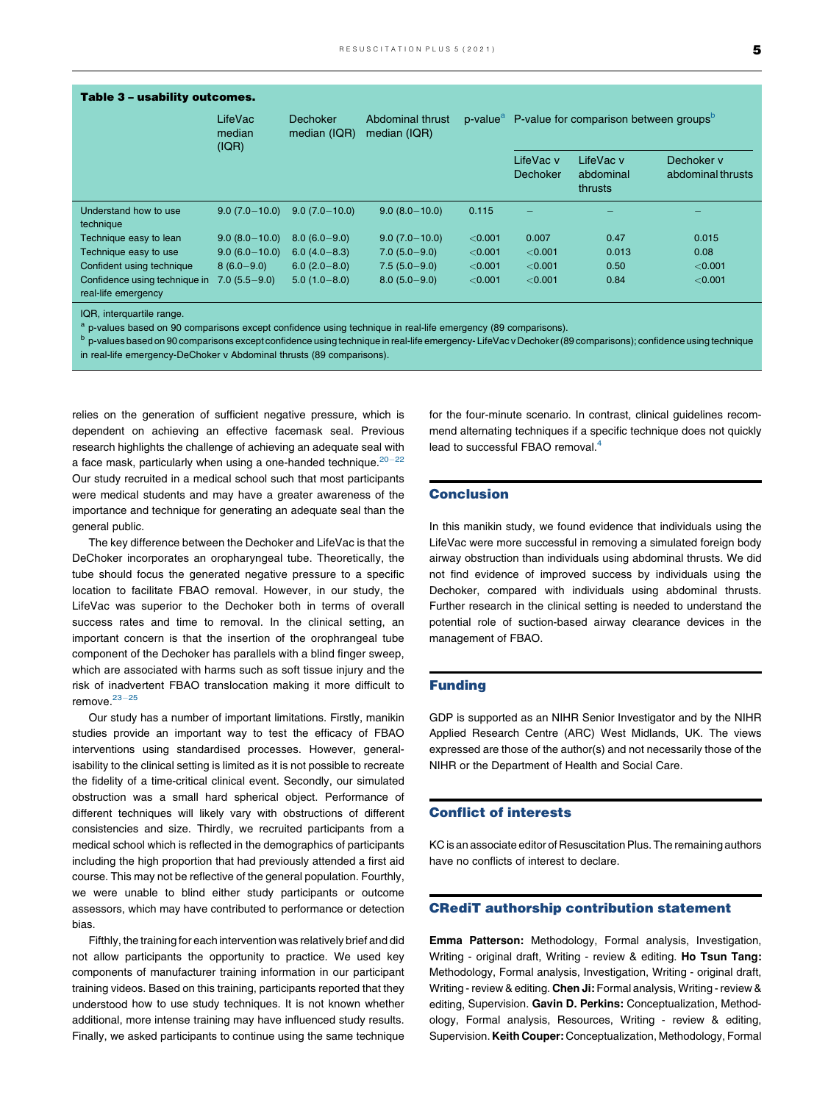<span id="page-4-0"></span>

| Table 3 - usability outcomes.                        | LifeVac<br>median<br>(IQR) | Dechoker<br>median (IQR) | Abdominal thrust<br>median (IQR) | p-value <sup>a</sup> | P-value for comparison between groups <sup>b</sup> |                                   |                                 |
|------------------------------------------------------|----------------------------|--------------------------|----------------------------------|----------------------|----------------------------------------------------|-----------------------------------|---------------------------------|
|                                                      |                            |                          |                                  |                      | LifeVac v<br><b>Dechoker</b>                       | LifeVac v<br>abdominal<br>thrusts | Dechoker v<br>abdominal thrusts |
| Understand how to use<br>technique                   | $9.0(7.0-10.0)$            | $9.0(7.0-10.0)$          | $9.0(8.0-10.0)$                  | 0.115                |                                                    |                                   |                                 |
| Technique easy to lean                               | $9.0(8.0-10.0)$            | $8.0(6.0 - 9.0)$         | $9.0(7.0-10.0)$                  | < 0.001              | 0.007                                              | 0.47                              | 0.015                           |
| Technique easy to use                                | $9.0(6.0-10.0)$            | $6.0(4.0 - 8.3)$         | $7.0(5.0-9.0)$                   | < 0.001              | < 0.001                                            | 0.013                             | 0.08                            |
| Confident using technique                            | $8(6.0-9.0)$               | $6.0(2.0 - 8.0)$         | $7.5(5.0-9.0)$                   | < 0.001              | < 0.001                                            | 0.50                              | < 0.001                         |
| Confidence using technique in<br>real-life emergency | $7.0(5.5-9.0)$             | $5.0(1.0 - 8.0)$         | $8.0(5.0-9.0)$                   | < 0.001              | < 0.001                                            | 0.84                              | < 0.001                         |

IQR, interquartile range.

a p-values based on 90 comparisons except confidence using technique in real-life emergency (89 comparisons).

b p-values based on 90 comparisons except confidence using technique in real-life emergency- LifeVac v Dechoker (89 comparisons); confidence using technique in real-life emergency-DeChoker v Abdominal thrusts (89 comparisons).

relies on the generation of sufficient negative pressure, which is dependent on achieving an effective facemask seal. Previous research highlights the challenge of achieving an adequate seal with a face mask, particularly when using a one-handed technique. $20-22$  $20-22$ Our study recruited in a medical school such that most participants were medical students and may have a greater awareness of the importance and technique for generating an adequate seal than the general public.

The key difference between the Dechoker and LifeVac is that the DeChoker incorporates an oropharyngeal tube. Theoretically, the tube should focus the generated negative pressure to a specific location to facilitate FBAO removal. However, in our study, the LifeVac was superior to the Dechoker both in terms of overall success rates and time to removal. In the clinical setting, an important concern is that the insertion of the orophrangeal tube component of the Dechoker has parallels with a blind finger sweep, which are associated with harms such as soft tissue injury and the risk of inadvertent FBAO translocation making it more difficult to remove. $23-25$ 

Our study has a number of important limitations. Firstly, manikin studies provide an important way to test the efficacy of FBAO interventions using standardised processes. However, generalisability to the clinical setting is limited as it is not possible to recreate the fidelity of a time-critical clinical event. Secondly, our simulated obstruction was a small hard spherical object. Performance of different techniques will likely vary with obstructions of different consistencies and size. Thirdly, we recruited participants from a medical school which is reflected in the demographics of participants including the high proportion that had previously attended a first aid course. This may not be reflective of the general population. Fourthly, we were unable to blind either study participants or outcome assessors, which may have contributed to performance or detection bias.

Fifthly, the training for each intervention was relatively brief and did not allow participants the opportunity to practice. We used key components of manufacturer training information in our participant training videos. Based on this training, participants reported that they understood how to use study techniques. It is not known whether additional, more intense training may have influenced study results. Finally, we asked participants to continue using the same technique

for the four-minute scenario. In contrast, clinical guidelines recommend alternating techniques if a specific technique does not quickly lead to successful FBAO removal.<sup>[4](#page-5-0)</sup>

## **Conclusion**

In this manikin study, we found evidence that individuals using the LifeVac were more successful in removing a simulated foreign body airway obstruction than individuals using abdominal thrusts. We did not find evidence of improved success by individuals using the Dechoker, compared with individuals using abdominal thrusts. Further research in the clinical setting is needed to understand the potential role of suction-based airway clearance devices in the management of FBAO.

### Funding

GDP is supported as an NIHR Senior Investigator and by the NIHR Applied Research Centre (ARC) West Midlands, UK. The views expressed are those of the author(s) and not necessarily those of the NIHR or the Department of Health and Social Care.

### Conflict of interests

KC is an associate editor of Resuscitation Plus. The remaining authors have no conflicts of interest to declare.

### CRediT authorship contribution statement

Emma Patterson: Methodology, Formal analysis, Investigation, Writing - original draft, Writing - review & editing. Ho Tsun Tang: Methodology, Formal analysis, Investigation, Writing - original draft, Writing - review & editing. Chen Ji: Formal analysis, Writing - review & editing, Supervision. Gavin D. Perkins: Conceptualization, Methodology, Formal analysis, Resources, Writing - review & editing, Supervision. Keith Couper: Conceptualization, Methodology, Formal